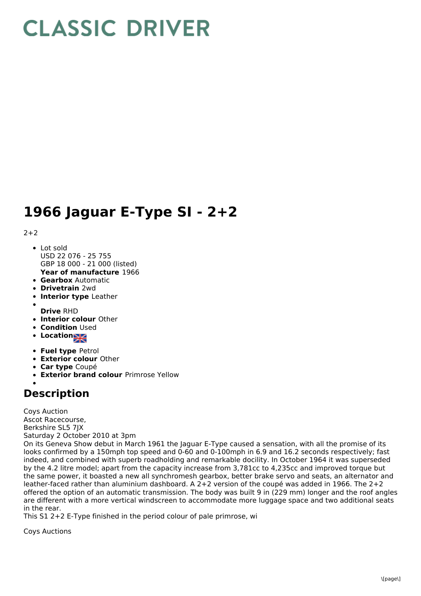## **CLASSIC DRIVER**

## **1966 Jaguar E-Type SI - 2+2**

## $2+2$

- Lot sold USD 22 076 - 25 755 GBP 18 000 - 21 000 (listed)
- **Year of manufacture** 1966
- **Gearbox** Automatic
- **Drivetrain** 2wd
- **Interior type** Leather
- 
- **Drive** RHD **Interior colour** Other
- **Condition Used**
- **Location**
- **Fuel type** Petrol
- **Exterior colour** Other
- **Car type** Coupé
- **Exterior brand colour** Primrose Yellow

## **Description**

Coys Auction Ascot Racecourse, Berkshire SL5 7JX Saturday 2 October 2010 at 3pm

On its Geneva Show debut in March 1961 the Jaguar E-Type caused a sensation, with all the promise of its looks confirmed by a 150mph top speed and 0-60 and 0-100mph in 6.9 and 16.2 seconds respectively; fast indeed, and combined with superb roadholding and remarkable docility. In October 1964 it was superseded by the 4.2 litre model; apart from the capacity increase from 3,781cc to 4,235cc and improved torque but the same power, it boasted a new all synchromesh gearbox, better brake servo and seats, an alternator and leather-faced rather than aluminium dashboard. A 2+2 version of the coupé was added in 1966. The 2+2 offered the option of an automatic transmission. The body was built 9 in (229 mm) longer and the roof angles are different with a more vertical windscreen to accommodate more luggage space and two additional seats in the rear.

This S1 2+2 E-Type finished in the period colour of pale primrose, wi

Coys Auctions